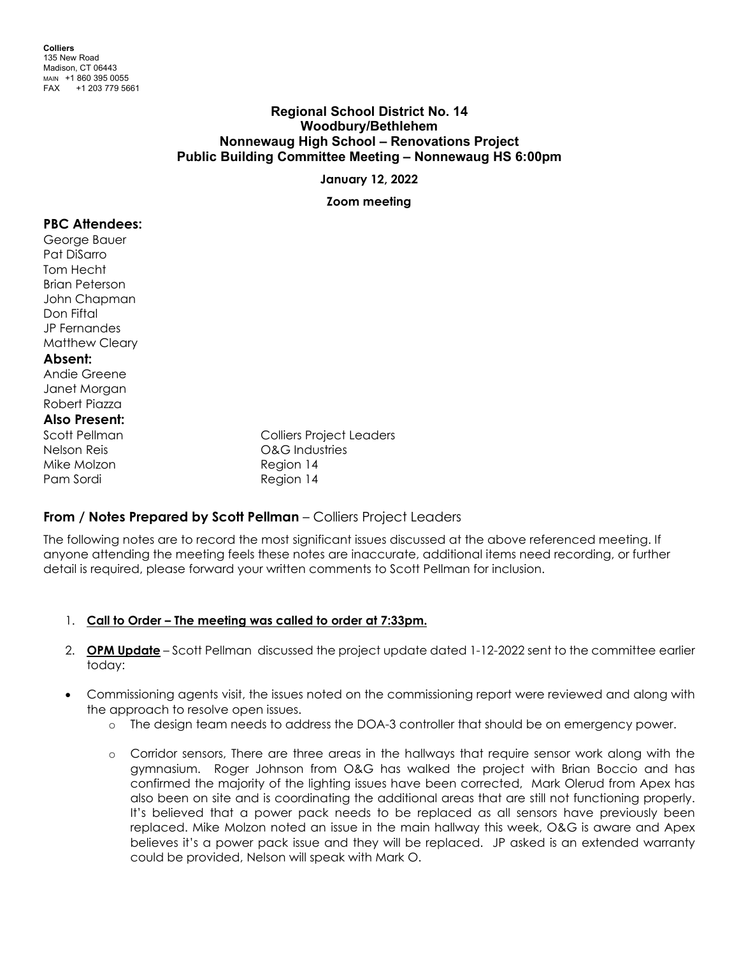## **Regional School District No. 14 Woodbury/Bethlehem Nonnewaug High School – Renovations Project Public Building Committee Meeting – Nonnewaug HS 6:00pm**

**January 12, 2022**

**Zoom meeting**

## **PBC Attendees:**

George Bauer Pat DiSarro Tom Hecht Brian Peterson John Chapman Don Fiftal JP Fernandes Matthew Cleary

### **Absent:**

Andie Greene Janet Morgan Robert Piazza

# **Also Present:**

Mike Molzon **Mike Molzon** 2008 Pam Sordi Region 14

Colliers Project Leaders Nelson Reis O&G Industries

## **From / Notes Prepared by Scott Pellman** – Colliers Project Leaders

The following notes are to record the most significant issues discussed at the above referenced meeting. If anyone attending the meeting feels these notes are inaccurate, additional items need recording, or further detail is required, please forward your written comments to Scott Pellman for inclusion.

## 1. **Call to Order – The meeting was called to order at 7:33pm.**

- 2. **OPM Update** Scott Pellman discussed the project update dated 1-12-2022 sent to the committee earlier today:
- Commissioning agents visit, the issues noted on the commissioning report were reviewed and along with the approach to resolve open issues.
	- o The design team needs to address the DOA-3 controller that should be on emergency power.
	- o Corridor sensors, There are three areas in the hallways that require sensor work along with the gymnasium. Roger Johnson from O&G has walked the project with Brian Boccio and has confirmed the majority of the lighting issues have been corrected, Mark Olerud from Apex has also been on site and is coordinating the additional areas that are still not functioning properly. It's believed that a power pack needs to be replaced as all sensors have previously been replaced. Mike Molzon noted an issue in the main hallway this week, O&G is aware and Apex believes it's a power pack issue and they will be replaced. JP asked is an extended warranty could be provided, Nelson will speak with Mark O.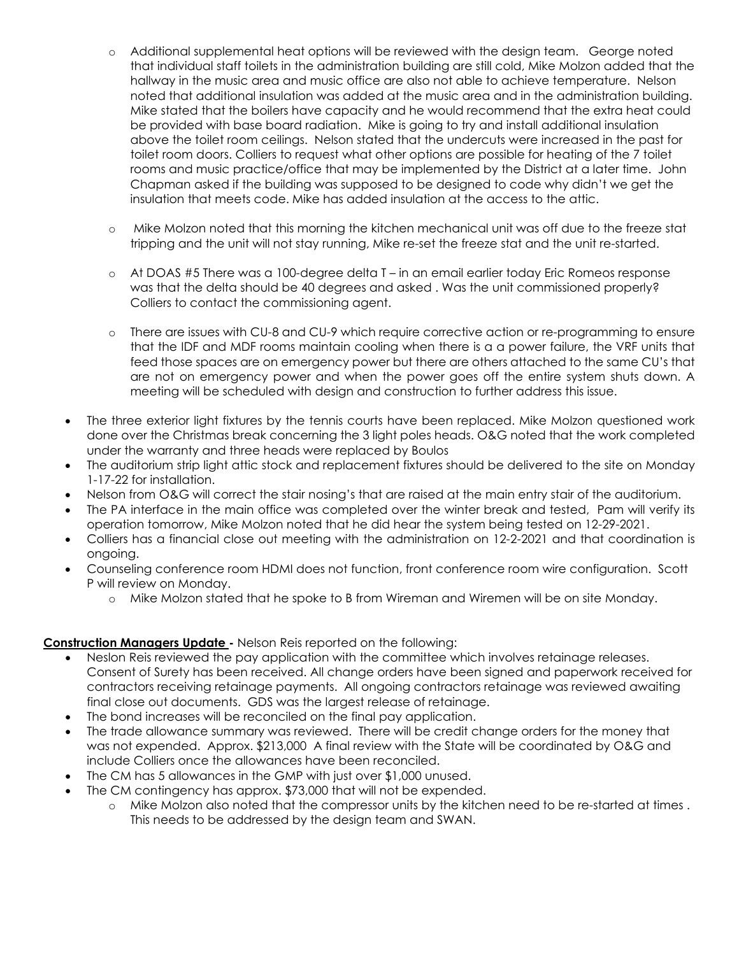- o Additional supplemental heat options will be reviewed with the design team. George noted that individual staff toilets in the administration building are still cold, Mike Molzon added that the hallway in the music area and music office are also not able to achieve temperature. Nelson noted that additional insulation was added at the music area and in the administration building. Mike stated that the boilers have capacity and he would recommend that the extra heat could be provided with base board radiation. Mike is going to try and install additional insulation above the toilet room ceilings. Nelson stated that the undercuts were increased in the past for toilet room doors. Colliers to request what other options are possible for heating of the 7 toilet rooms and music practice/office that may be implemented by the District at a later time. John Chapman asked if the building was supposed to be designed to code why didn't we get the insulation that meets code. Mike has added insulation at the access to the attic.
- o Mike Molzon noted that this morning the kitchen mechanical unit was off due to the freeze stat tripping and the unit will not stay running, Mike re-set the freeze stat and the unit re-started.
- o At DOAS #5 There was a 100-degree delta T in an email earlier today Eric Romeos response was that the delta should be 40 degrees and asked . Was the unit commissioned properly? Colliers to contact the commissioning agent.
- o There are issues with CU-8 and CU-9 which require corrective action or re-programming to ensure that the IDF and MDF rooms maintain cooling when there is a a power failure, the VRF units that feed those spaces are on emergency power but there are others attached to the same CU's that are not on emergency power and when the power goes off the entire system shuts down. A meeting will be scheduled with design and construction to further address this issue.
- The three exterior light fixtures by the tennis courts have been replaced. Mike Molzon questioned work done over the Christmas break concerning the 3 light poles heads. O&G noted that the work completed under the warranty and three heads were replaced by Boulos
- The auditorium strip light attic stock and replacement fixtures should be delivered to the site on Monday 1-17-22 for installation.
- Nelson from O&G will correct the stair nosing's that are raised at the main entry stair of the auditorium.
- The PA interface in the main office was completed over the winter break and tested, Pam will verify its operation tomorrow, Mike Molzon noted that he did hear the system being tested on 12-29-2021.
- Colliers has a financial close out meeting with the administration on 12-2-2021 and that coordination is ongoing.
- Counseling conference room HDMI does not function, front conference room wire configuration. Scott P will review on Monday.
	- o Mike Molzon stated that he spoke to B from Wireman and Wiremen will be on site Monday.

## **Construction Managers Update -** Nelson Reis reported on the following:

- Neslon Reis reviewed the pay application with the committee which involves retainage releases. Consent of Surety has been received. All change orders have been signed and paperwork received for contractors receiving retainage payments. All ongoing contractors retainage was reviewed awaiting final close out documents. GDS was the largest release of retainage.
- The bond increases will be reconciled on the final pay application.
- The trade allowance summary was reviewed. There will be credit change orders for the money that was not expended. Approx. \$213,000 A final review with the State will be coordinated by O&G and include Colliers once the allowances have been reconciled.
- The CM has 5 allowances in the GMP with just over \$1,000 unused.
- The CM contingency has approx. \$73,000 that will not be expended.
	- o Mike Molzon also noted that the compressor units by the kitchen need to be re-started at times . This needs to be addressed by the design team and SWAN.